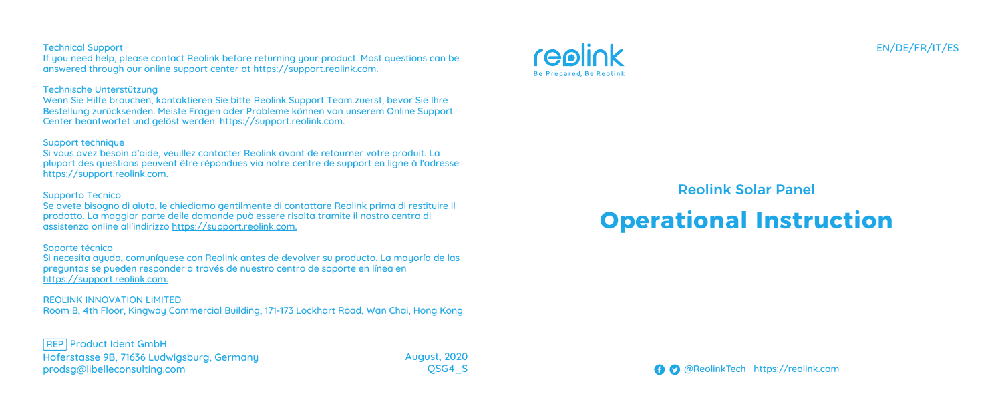#### Technical Support

If you need help, please contact Reolink before returning your product. Most questions can be answered through our online support center at https://support.reolink.com.

#### Technische Unterstützung

Wenn Sie Hilfe brauchen, kontaktieren Sie bitte Reolink Support Team zuerst, bevor Sie Ihre Bestellung zurücksenden. Meiste Fragen oder Probleme können von unserem Online Support Center beantwortet und gelöst werden: https://support.reolink.com.

#### Support technique

Si vous avez besoin d'aide, veuillez contacter Reolink avant de retourner votre produit. La plupart des questions peuvent être répondues via notre centre de support en ligne à l'adresse https://support.reolink.com.

#### Supporto Tecnico

Se avete bisogno di aiuto, le chiediamo gentilmente di contattare Reolink prima di restituire il prodotto. La maggior parte delle domande può essere risolta tramite il nostro centro di assistenza online all'indirizzo https://support.reolink.com.

#### Soporte técnico

Si necesita ayuda, comuníquese con Reolink antes de devolver su producto. La mayoría de las preguntas se pueden responder a través de nuestro centro de soporte en línea en https://support.reolink.com.

REOLINK INNOVATION LIMITED Room B, 4th Floor, Kingway Commercial Building, 171-173 Lockhart Road, Wan Chai, Hong Kong

Hoferstasse 9B, 71636 Ludwigsburg, Germany prodsg@libelleconsulting.com **REP Product Ident GmbH** 

August, 2020 QSG4\_S



### Reolink Solar Panel

# **Operational Instruction**

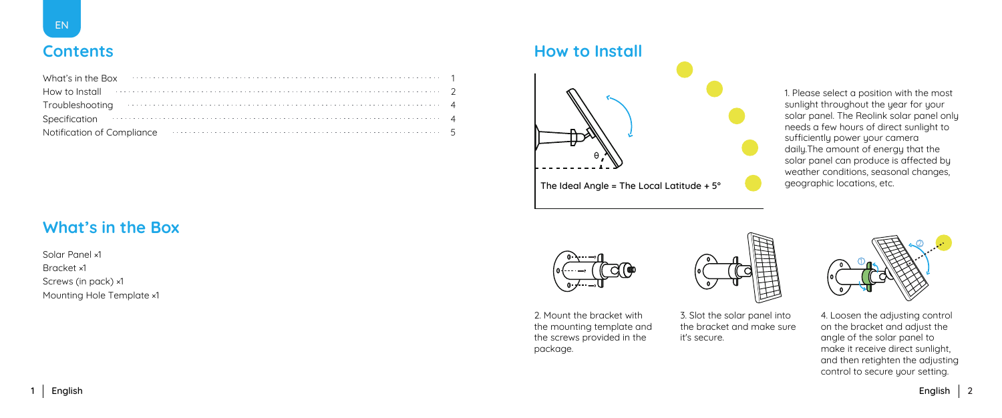### **Contents**

| What's in the Box 2000 contains the contact the Box 2000 contact the contact the contact the Box 2000 contact the Box 2000 contact the Box 2000 contact the Box 2000 contact the Box 2000 contact the Box 2000 contact the Box |  |  |  |  |  |  |
|--------------------------------------------------------------------------------------------------------------------------------------------------------------------------------------------------------------------------------|--|--|--|--|--|--|
| How to Install $\cdots$ . $\cdots$ . $\cdots$ . $\cdots$ . $\cdots$ . $\cdots$ . $\cdots$ . $\cdots$ . $\cdots$ . $\cdots$ . $\cdots$                                                                                          |  |  |  |  |  |  |
|                                                                                                                                                                                                                                |  |  |  |  |  |  |
| Specification 44                                                                                                                                                                                                               |  |  |  |  |  |  |
| Notification of Compliance <b>contract to the contract of Compliance</b> 5                                                                                                                                                     |  |  |  |  |  |  |

### **What's in the Box**

Solar Panel ×1 Bracket ×1 Screws (in pack) ×1 Mounting Hole Template ×1

### **How to Install**



The Ideal Angle = The Local Latitude +  $5^{\circ}$ 

1. Please select a position with the most sunlight throughout the year for your solar panel. The Reolink solar panel only needs a few hours of direct sunlight to sufficientlu power your camera daily.The amount of energy that the solar panel can produce is affected by weather conditions, seasonal changes,<br>geographic locations, etc.



2. Mount the bracket with the mounting template and the screws provided in the package.



3. Slot the solar panel into the bracket and make sure it's secure.



4. Loosen the adjusting control on the bracket and adjust the angle of the solar panel to make it receive direct sunlight, and then retighten the adjusting control to secure your setting.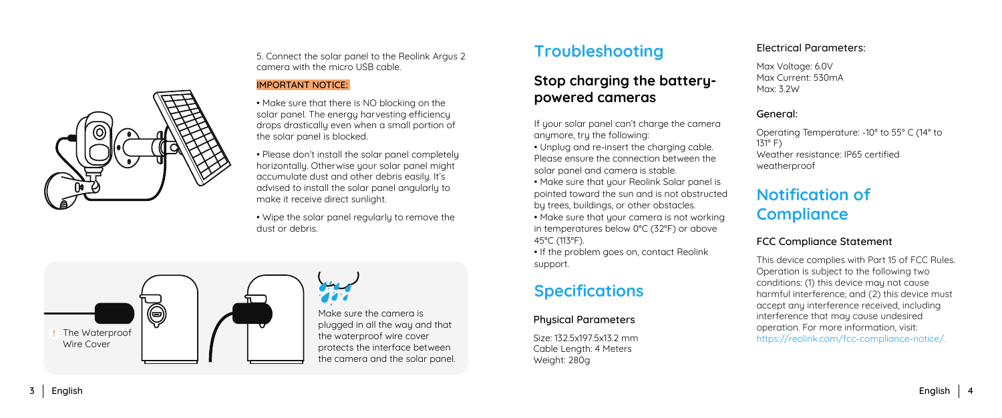

5. Connect the solar panel to the Reolink Argus 2 camera with the micro USB cable.

#### IMPORTANT NOTICE:

• Make sure that there is NO blocking on the solar panel. The energy harvesting efficiency drops drastically even when a small portion of the solar panel is blocked.

• Please don't install the solar panel completely horizontally. Otherwise your solar panel might accumulate dust and other debris easily. It's advised to install the solar panel angularly to make it receive direct sunlight.

• Wipe the solar panel regularly to remove the dust or debris.



### **Troubleshooting**

### **Stop charging the batterypowered cameras**

If your solar panel can't charge the camera anymore, try the following:

• Unplug and re-insert the charging cable. Please ensure the connection between the solar panel and camera is stable.

• Make sure that your Reolink Solar panel is pointed toward the sun and is not obstructed by trees, buildings, or other obstacles.

• Make sure that your camera is not working in temperatures below 0°C (32°F) or above 45°C (113°F).

• If the problem goes on, contact Reolink support.

### **Specifications**

#### Physical Parameters

Size: 132.5x197.5x13.2 mm Cable Length: 4 Meters Weight: 280g

#### Electrical Parameters:

Max Voltage: 6.0V Max Current: 530mA Max: 3.2W

#### General:

Operating Temperature: -10° to 55° C (14° to 131° F) Weather resistance: IP65 certified weatherproof

### **Notification of Compliance**

#### FCC Compliance Statement

This device complies with Part 15 of FCC Rules. Operation is subject to the following two conditions: (1) this device may not cause harmful interference, and (2) this device must accept any interference received, including interference that may cause undesired operation. For more information, visit: https://reolink.com/fcc-compliance-notice/.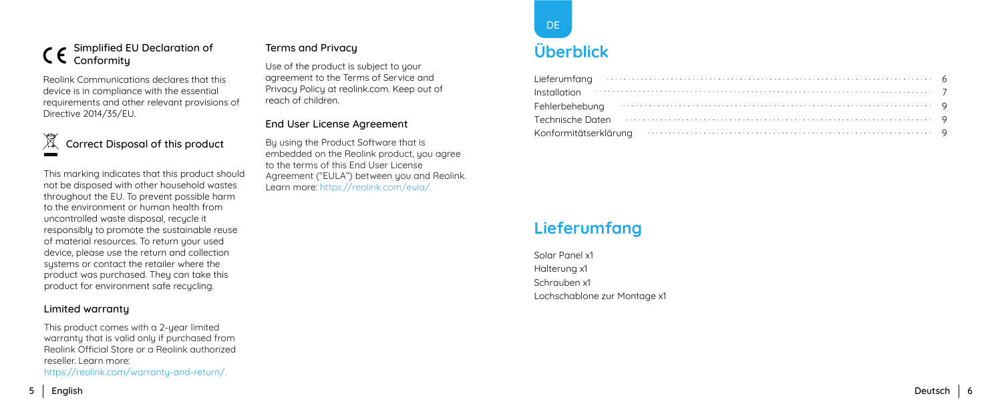#### Simplified EU Declaration of Conformitu

Reolink Communications declares that this device is in compliance with the essential requirements and other relevant provisions of Directive 2014/35/EU.

#### $\boxtimes$ Correct Disposal of this product

This marking indicates that this product should not be disposed with other household wastes throughout the EU. To prevent possible harm to the environment or human health from uncontrolled waste disposal, recucle it responsibly to promote the sustainable reuse of material resources. To return your used device, please use the return and collection sustems or contact the retailer where the product was purchased. They can take this product for environment safe recycling.

#### Limited warranty

This product comes with a 2-year limited warranty that is valid only if purchased from Reolink Official Store or a Reolink authorized reseller. Learn more:

https://reolink.com/warranty-and-return/.

### Terms and Privacy

Use of the product is subject to your agreement to the Terms of Service and Privacu Policu at reolink.com. Keep out of reach of children.

#### End User License Agreement

By using the Product Software that is embedded on the Reolink product, you agree to the terms of this End User License Agreement ("EULA") between you and Reolink. Learn more: https://reolink.com/eula/.

### **Lieferumfang**

Solar Panel x1 Halterung x1 Schrauben x1 Lochschablone zur Montage x1



### **Überblick**

| Lieferumfang $\cdots$ $\cdots$ $\cdots$ $\cdots$ $\cdots$ $\cdots$ $\cdots$ $\cdots$ $\cdots$ $\cdots$ $\cdots$ $\cdots$ $\cdots$ $\cdots$ $\cdots$ $\cdots$ $\cdots$ $\cdots$ $\cdots$                                        |  |
|--------------------------------------------------------------------------------------------------------------------------------------------------------------------------------------------------------------------------------|--|
| $In the definition \t 7$                                                                                                                                                                                                       |  |
| Fehlerbehebung (and the contract of the contract of the contract of the contract of the contract of the contract of the contract of the contract of the contract of the contract of the contract of the contract of the contra |  |
| Technische Daten in in der der anteressen aus der anteressen aus der anteressen aus der anteressen aus der anteressen aus der anteressen aus der anteressen aus der anteressen aus der anteressen aus der anteressen ausgenehm |  |
| Konformitätserklärung www.www.www.www.www.www.www.ww.ww.ex. 9                                                                                                                                                                  |  |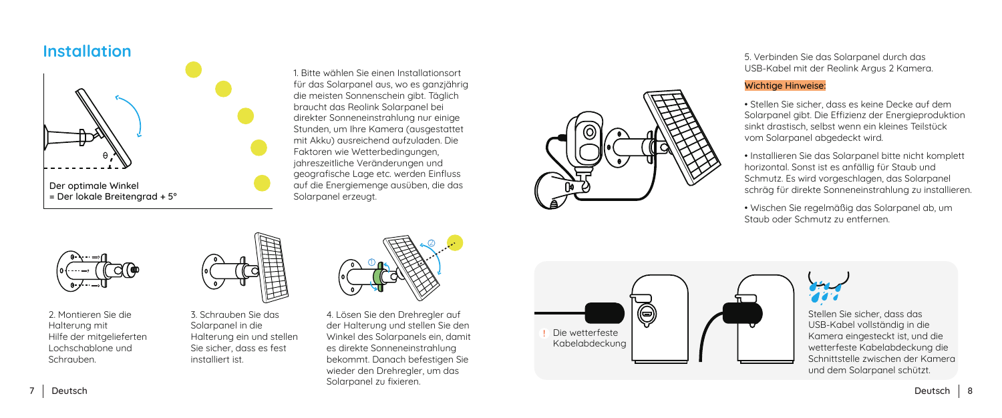### **Installation**



1. Bitte wählen Sie einen Installationsort für das Solarpanel aus, wo es ganzjährig die meisten Sonnenschein gibt. Täglich braucht das Reolink Solarpanel bei direkter Sonneneinstrahlung nur einige Stunden, um Ihre Kamera (ausgestattet mit Akku) ausreichend aufzuladen. Die Faktoren wie Wetterbedingungen, jahreszeitliche Veränderungen und geografische Lage etc. werden Einfluss auf die Energiemenge ausüben, die das Solarpanel erzeugt.



5. Verbinden Sie das Solarpanel durch das USB-Kabel mit der Reolink Argus 2 Kamera.

#### Wichtige Hinweise:

• Stellen Sie sicher, dass es keine Decke auf dem Solarpanel gibt. Die Effizienz der Energieproduktion sinkt drastisch, selbst wenn ein kleines Teilstück vom Solarpanel abgedeckt wird.

• Installieren Sie das Solarpanel bitte nicht komplett horizontal. Sonst ist es anfällig für Staub und Schmutz. Es wird vorgeschlagen, das Solarpanel schräg für direkte Sonneneinstrahlung zu installieren.

• Wischen Sie regelmäßig das Solarpanel ab, um Staub oder Schmutz zu entfernen.



2. Montieren Sie die Halterung mit Hilfe der mitgelieferten Lochschablone und Schrauben.



3. Schrauben Sie das Solarpanel in die Halterung ein und stellen Sie sicher, dass es fest installiert ist.



4. Lösen Sie den Drehregler auf der Halterung und stellen Sie den Winkel des Solarpanels ein, damit es direkte Sonneneinstrahlung bekommt. Danach befestigen Sie wieder den Drehregler, um das Solarpanel zu fixieren.





Stellen Sie sicher, dass das USB-Kabel vollständig in die Kamera eingesteckt ist, und die wetterfeste Kabelabdeckung die Schnittstelle zwischen der Kamera und dem Solarpanel schützt.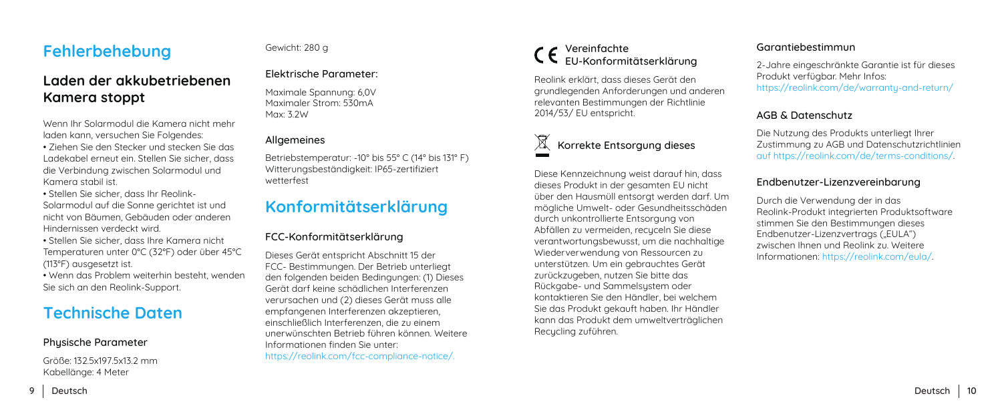### **Fehlerbehebung**

### **Laden der akkubetriebenen Kamera stoppt**

Wenn Ihr Solarmodul die Kamera nicht mehr laden kann, versuchen Sie Folgendes:

• Ziehen Sie den Stecker und stecken Sie das Ladekabel erneut ein. Stellen Sie sicher, dass die Verbindung zwischen Solarmodul und Kamera stabil ist.

• Stellen Sie sicher, dass Ihr Reolink-Solarmodul auf die Sonne gerichtet ist und nicht von Bäumen, Gebäuden oder anderen Hindernissen verdeckt wird.

• Stellen Sie sicher, dass Ihre Kamera nicht Temperaturen unter 0°C (32°F) oder über 45°C (113°F) ausgesetzt ist.

• Wenn das Problem weiterhin besteht, wenden Sie sich an den Reolink-Support.

### **Technische Daten**

#### Physische Parameter

Größe: 132.5x197.5x13.2 mm Kabellänge: 4 Meter

#### Gewicht: 280 g

#### Elektrische Parameter:

Maximale Spannung: 6,0V Maximaler Strom: 530mA Max: 3.2W

Betriebstemperatur: -10° bis 55° C (14° bis 131° F) Witterungsbeständigkeit: IP65-zertifiziert wetterfest

### **Konformitätserklärung**

#### FCC-Konformitätserklärung

Dieses Gerät entspricht Abschnitt 15 der FCC- Bestimmungen. Der Betrieb unterliegt den folgenden beiden Bedingungen: (1) Dieses Gerät darf keine schädlichen Interferenzen verursachen und (2) dieses Gerät muss alle empfangenen Interferenzen akzeptieren, einschließlich Interferenzen, die zu einem unerwünschten Betrieb führen können. Weitere Informationen finden Sie unter: https://reolink.com/fcc-compliance-notice/.

#### Vereinfachte EU-Konformitätserklärung

Reolink erklärt, dass dieses Gerät den grundlegenden Anforderungen und anderen relevanten Bestimmungen der Richtlinie 2014/53/ EU entspricht.

Diese Kennzeichnung weist darauf hin, dass dieses Produkt in der gesamten EU nicht über den Hausmüll entsorgt werden darf. Um mögliche Umwelt- oder Gesundheitsschäden durch unkontrollierte Entsorgung von Abfällen zu vermeiden, recuceln Sie diese verantwortungsbewusst, um die nachhaltige Wiederverwendung von Ressourcen zu unterstützen. Um ein gebrauchtes Gerät zurückzugeben, nutzen Sie bitte das Rückgabe- und Sammelsustem oder kontaktieren Sie den Händler, bei welchem Sie das Produkt gekauft haben. Ihr Händler kann das Produkt dem umweltverträglichen Recucling zuführen.

#### Garantiebestimmun

2-Jahre eingeschränkte Garantie ist für dieses Produkt verfügbar. Mehr Infos: https://reolink.com/de/warranty-and-return/

#### AGB & Datenschutz

Allgemeines Die Nutzung des Produkts unterliegt Ihrer Korrekte Entsorgung dieses Zustimmung zu AGB und Datenschutzrichtlinien auf https://reolink.com/de/terms-conditions/.

#### Endbenutzer-Lizenzvereinbarung

Durch die Verwendung der in das Reolink-Produkt integrierten Produktsoftware stimmen Sie den Bestimmungen dieses Endbenutzer-Lizenzvertrags ("EULA") zwischen Ihnen und Reolink zu. Weitere Informationen: https://reolink.com/eula/.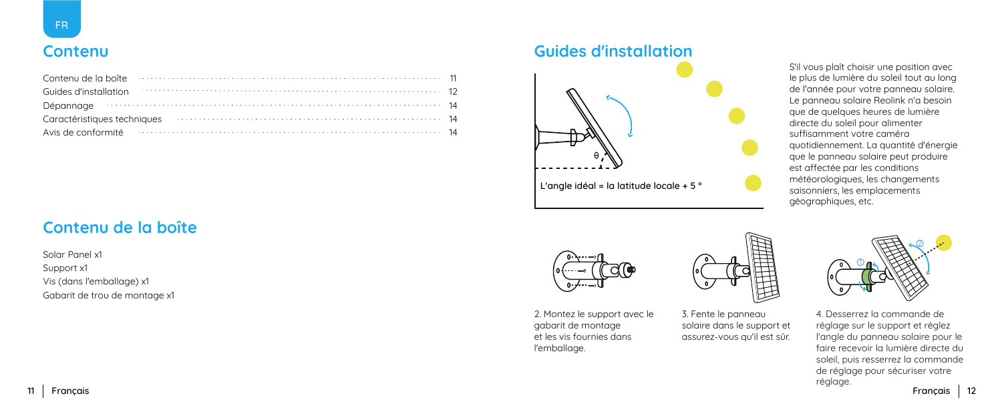### **Contenu**

| Contenu de la boîte de la contenu de la boîte de la boîte de la boîte de la boîte de la boîte de la boîte de l      |  |
|---------------------------------------------------------------------------------------------------------------------|--|
| Guides d'installation materiale de la constitution de la constitution de la constitution de la constitution de      |  |
| Dépannage (and alleged and alleged and alleged and alleged and alleged and alleged and alleged and alleged and $14$ |  |
| Caractéristiques techniques <b>contracted and the contract of the Caractéristiques techniques 14</b>                |  |
| Avis de conformité en conservation de la conservation de la conformité de la conformité de la conservation de       |  |

### **Contenu de la boîte**

Solar Panel x1 Support x1 Vis (dans l'emballage) x1 Gabarit de trou de montage x1

### **Guides d'installation**



S'il vous plaît choisir une position avec le plus de lumière du soleil tout au long de l'année pour votre panneau solaire. Le panneau solaire Reolink n'a besoin que de quelques heures de lumière directe du soleil pour alimenter suffisamment votre caméra quotidiennement. La quantité d'énergie que le panneau solaire peut produire est affectée par les conditions météorologiques, les changements saisonniers, les emplacements géographiques, etc.



2. Montez le support avec le gabarit de montage et les vis fournies dans l'emballage.



3. Fente le panneau solaire dans le support et assurez-vous qu'il est sûr.



4. Desserrez la commande de réglage sur le support et réglez l'angle du panneau solaire pour le faire recevoir la lumière directe du soleil, puis resserrez la commande de réglage pour sécuriser votre réglage.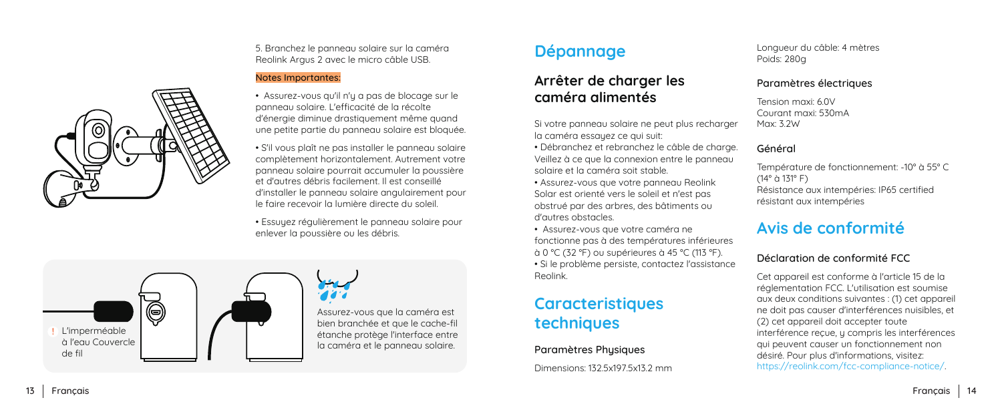5. Branchez le panneau solaire sur la caméra Reolink Argus 2 avec le micro câble USB.

#### Notes Importantes:

• Assurez-vous qu'il n'y a pas de blocage sur le panneau solaire. L'efficacité de la récolte d'énergie diminue drastiquement même quand une petite partie du panneau solaire est bloquée.

• S'il vous plaît ne pas installer le panneau solaire complètement horizontalement. Autrement votre panneau solaire pourrait accumuler la poussière et d'autres débris facilement. Il est conseillé d'installer le panneau solaire angulairement pour le faire recevoir la lumière directe du soleil.

• Essuyez régulièrement le panneau solaire pour enlever la poussière ou les débris.

## **Dépannage**

### **Arrêter de charger les caméra alimentés**

Si votre panneau solaire ne peut plus recharger la caméra essayez ce qui suit:

• Débranchez et rebranchez le câble de charge. Veillez à ce que la connexion entre le panneau solaire et la caméra soit stable.

• Assurez-vous que votre panneau Reolink Solar est orienté vers le soleil et n'est pas obstrué par des arbres, des bâtiments ou d'autres obstacles.

• Assurez-vous que votre caméra ne fonctionne pas à des températures inférieures à 0 °C (32 °F) ou supérieures à 45 °C (113 °F). • Si le problème persiste, contactez l'assistance Reolink.

### **Caracteristiques techniques**

#### Paramètres Physiques

Dimensions: 132.5x197.5x13.2 mm

Longueur du câble: 4 mètres Poids: 280g

#### Paramètres électriques

Tension maxi: 6.0V Courant maxi: 530mA Max: 3.2W

#### Général

Température de fonctionnement: -10° à 55° C (14° à 131° F) Résistance aux intempéries: IP65 certified résistant aux intempéries

### **Avis de conformité**

#### Déclaration de conformité FCC

Cet appareil est conforme à l'article 15 de la réglementation FCC. L'utilisation est soumise aux deux conditions suivantes : (1) cet appareil ne doit pas causer d'interférences nuisibles, et (2) cet appareil doit accepter toute interférence recue, y compris les interférences qui peuvent causer un fonctionnement non désiré. Pour plus d'informations, visitez: https://reolink.com/fcc-compliance-notice/.

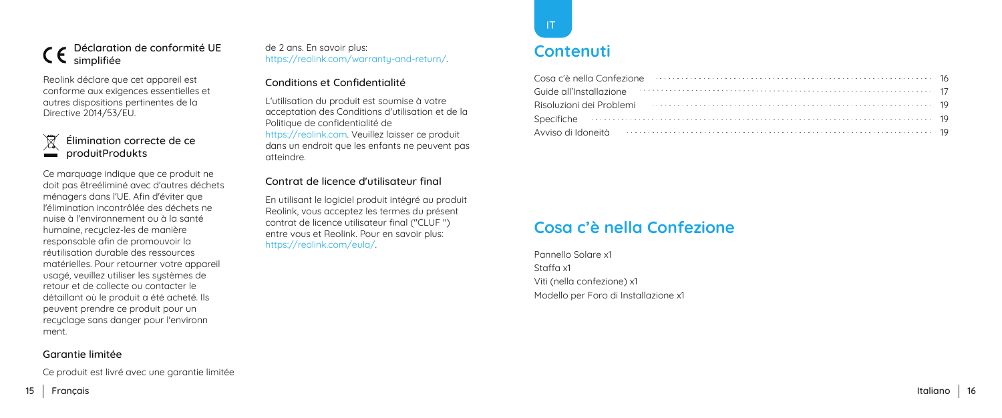#### Déclaration de conformité UE simplifiée

Reolink déclare que cet appareil est conforme aux exigences essentielles et autres dispositions pertinentes de la Directive 2014/53/EU.

### Élimination correcte de ce produitProdukts

Ce marquage indique que ce produit ne doit pas êtreéliminé avec d'autres déchets ménagers dans l'UE. Afin d'éviter que l'élimination incontrôlée des déchets ne nuise à l'environnement ou à la santé humaine, recuclez-les de manière responsable afin de promouvoir la réutilisation durable des ressources matérielles. Pour retourner votre appareil usagé, veuillez utiliser les sustèmes de retour et de collecte ou contacter le détaillant où le produit a été acheté. Ils peuvent prendre ce produit pour un recuclage sans danger pour l'environn ment.

#### Garantie limitée

Ce produit est livré avec une garantie limitée

#### de 2 ans. En savoir plus: https://reolink.com/warranty-and-return/.

#### Conditions et Confidentialité

L'utilisation du produit est soumise à votre acceptation des Conditions d'utilisation et de la Politique de confidentialité de https://reolink.com. Veuillez laisser ce produit dans un endroit que les enfants ne peuvent pas atteindre.

#### Contrat de licence d'utilisateur final

En utilisant le logiciel produit intégré au produit Reolink, vous acceptez les termes du présent contrat de licence utilisateur final ("CLUF ") entre vous et Reolink. Pour en savoir plus: https://reolink.com/eula/.



### **Contenuti**

| Cosa c'è nella Confezione e contra contra la contra della Cosa città di Territo di Territo di Territo di Terri                                                                                                                 |  |
|--------------------------------------------------------------------------------------------------------------------------------------------------------------------------------------------------------------------------------|--|
| Guide all'Installazione and accompany and a student state of the state of the state of the state of the state of the state of the state of the state of the state of the state of the state of the state of the state of the s |  |
| Risoluzioni dei Problemi administrativamente controllare dei problemi dei problemi dei problemi dei problemi d                                                                                                                 |  |
|                                                                                                                                                                                                                                |  |
| Avviso di Idoneità della communitatione della contratta della contratta della contratta della contratta della                                                                                                                  |  |

### **Cosa c'è nella Confezione**

Pannello Solare x1 Staffa x1 Viti (nella confezione) x1 Modello per Foro di Installazione x1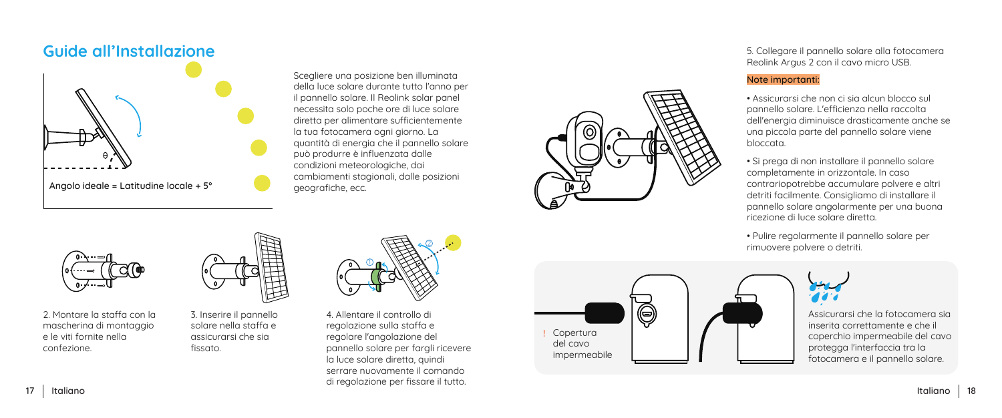

Scegliere una posizione ben illuminata della luce solare durante tutto l'anno per il pannello solare. Il Reolink solar panel necessita solo poche ore di luce solare diretta per alimentare sufficientemente la tua fotocamera ogni giorno. La quantità di energia che il pannello solare può produrre è influenzata dalle condizioni meteorologiche, dai cambiamenti stagionali, dalle posizioni



5. Collegare il pannello solare alla fotocamera Reolink Argus 2 con il cavo micro USB.

#### Note importanti:

- Assicurarsi che non ci sia alcun blocco sul pannello solare. L'efficienza nella raccolta dell'energia diminuisce drasticamente anche se una piccola parte del pannello solare viene bloccata.
- Si prega di non installare il pannello solare completamente in orizzontale. In caso contrariopotrebbe accumulare polvere e altri detriti facilmente. Consigliamo di installare il pannello solare angolarmente per una buona ricezione di luce solare diretta.
- Pulire regolarmente il pannello solare per rimuovere polvere o detriti.



2. Montare la staffa con la mascherina di montaggio e le viti fornite nella confezione.

3. Inserire il pannello solare nella staffa e assicurarsi che sia fissato.



4. Allentare il controllo di regolazione sulla staffa e regolare l'angolazione del pannello solare per fargli ricevere la luce solare diretta, quindi serrare nuovamente il comando di regolazione per fissare il tutto.





Assicurarsi che la fotocamera sia inserita correttamente e che il coperchio impermeabile del cavo protegga l'interfaccia tra la fotocamera e il pannello solare.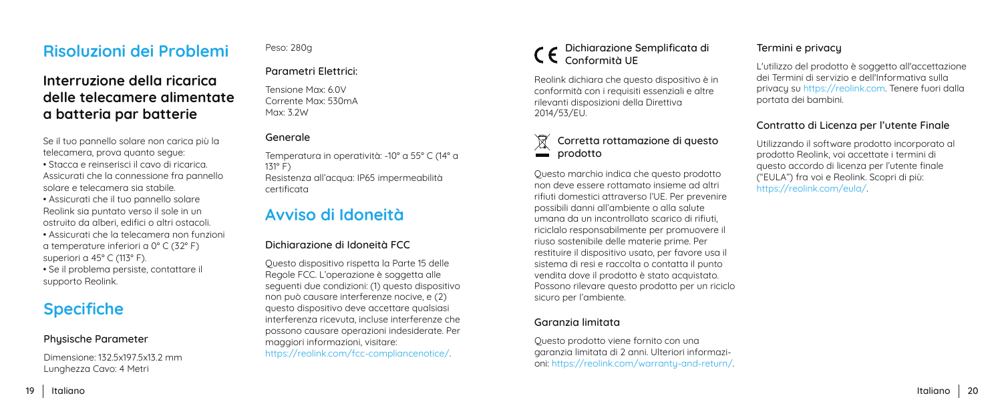### **Risoluzioni dei Problemi**

### **Interruzione della ricarica delle telecamere alimentate a batteria par batterie**

Se il tuo pannello solare non carica più la telecamera, prova quanto segue:

• Stacca e reinserisci il cavo di ricarica. Assicurati che la connessione fra pannello solare e telecamera sia stabile.

• Assicurati che il tuo pannello solare Reolink sia puntato verso il sole in un ostruito da alberi, edifici o altri ostacoli.

• Assicurati che la telecamera non funzioni a temperature inferiori a 0° C (32° F) superiori a 45° C (113° F).

• Se il problema persiste, contattare il supporto Reolink.

### **Specifiche**

#### Phusische Parameter

Dimensione: 132.5x197.5x13.2 mm Lunghezza Cavo: 4 Metri

#### Peso: 280g

#### Parametri Elettrici:

Tensione Max: 6.0V Corrente Max: 530mA Max: 3.2W

#### Generale

Temperatura in operatività: -10° a 55° C (14° a 131° F) Resistenza all'acqua: IP65 impermeabilità certificata

### **Avviso di Idoneità**

#### Dichiarazione di Idoneità FCC

Questo dispositivo rispetta la Parte 15 delle Regole FCC. L'operazione è soggetta alle seguenti due condizioni: (1) questo dispositivo non può causare interferenze nocive, e (2) questo dispositivo deve accettare qualsiasi interferenza ricevuta, incluse interferenze che possono causare operazioni indesiderate. Per maggiori informazioni, visitare: https://reolink.com/fcc-compliancenotice/.

#### Dichiarazione Semplificata di Conformità UE

Reolink dichiara che questo dispositivo è in conformità con i requisiti essenziali e altre rilevanti disposizioni della Direttiva 2014/53/EU.

#### $\boxtimes$ Corretta rottamazione di questo  $\sum$  prodotto

Questo marchio indica che questo prodotto non deve essere rottamato insieme ad altri rifiuti domestici attraverso l'UE. Per prevenire possibili danni all'ambiente o alla salute umana da un incontrollato scarico di rifiuti, riciclalo responsabilmente per promuovere il riuso sostenibile delle materie prime. Per restituire il dispositivo usato, per favore usa il sistema di resi e raccolta o contatta il punto vendita dove il prodotto è stato acquistato. Possono rilevare questo prodotto per un riciclo sicuro per l'ambiente.

#### Garanzia limitata

Questo prodotto viene fornito con una garanzia limitata di 2 anni. Ulteriori informazioni: https://reolink.com/warranty-and-return/.

#### Termini e privacy

L'utilizzo del prodotto è soggetto all'accettazione dei Termini di servizio e dell'Informativa sulla privacy su https://reolink.com. Tenere fuori dalla portata dei bambini.

#### Contratto di Licenza per l'utente Finale

Utilizzando il software prodotto incorporato al prodotto Reolink, voi accettate i termini di questo accordo di licenza per l'utente finale ("EULA") fra voi e Reolink. Scopri di più: https://reolink.com/eula/.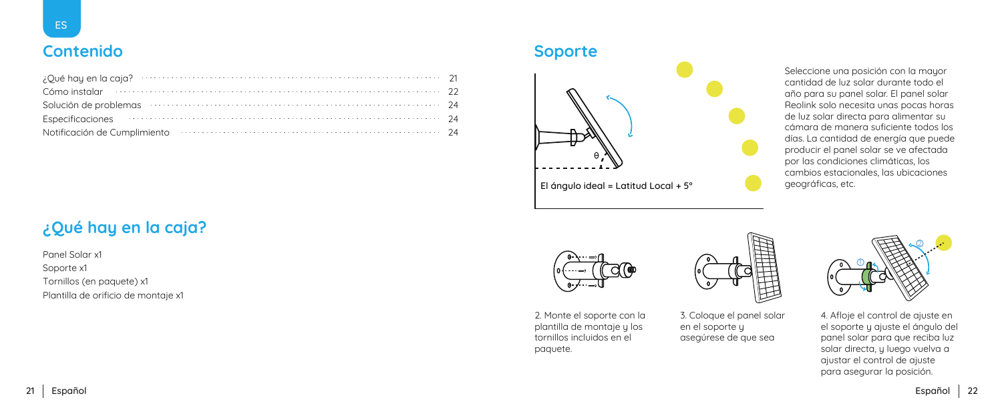### **Contenido**

| $\mathcal{E}$ Qué hay en la caja? $\cdots$ $\cdots$ $\cdots$ $\cdots$ $\cdots$ $\cdots$ $\cdots$ $\cdots$ $\cdots$ $\cdots$ $\cdots$ 21                                                                                       |  |
|-------------------------------------------------------------------------------------------------------------------------------------------------------------------------------------------------------------------------------|--|
| Cómo instalar (1999) como provincia de la como establecer a como establecer a como establecer a como establecer a como establecer a como establecer a como establecer a como establecer a como establecer a como establecer a |  |
| Solución de problemas                                                                                                                                                                                                         |  |
| Especificaciones 24                                                                                                                                                                                                           |  |
| Notificación de Cumplimiento entre a constructional de la proporción de Cumplimiento entre a construction de l                                                                                                                |  |

### **¿Qué hay en la caja?**

Panel Solar x1 Soporte x1 Tornillos (en paquete) x1 Plantilla de orificio de montaje x1

### **Soporte**



El ángulo ideal = Latitud Local + 5° geográficas, etc.

Seleccione una posición con la mayor cantidad de luz solar durante todo el año para su panel solar. El panel solar Reolink solo necesita unas pocas horas de luz solar directa para alimentar su cámara de manera suficiente todos los días. La cantidad de energía que puede producir el panel solar se ve afectada por las condiciones climáticas, los cambios estacionales, las ubicaciones



2. Monte el soporte con la plantilla de montaje y los tornillos incluidos en el paquete.



3. Coloque el panel solar en el soporte y asegúrese de que sea



4. Afloje el control de ajuste en el soporte y ajuste el ángulo del panel solar para que reciba luz solar directa, y luego vuelva a ajustar el control de ajuste para asegurar la posición.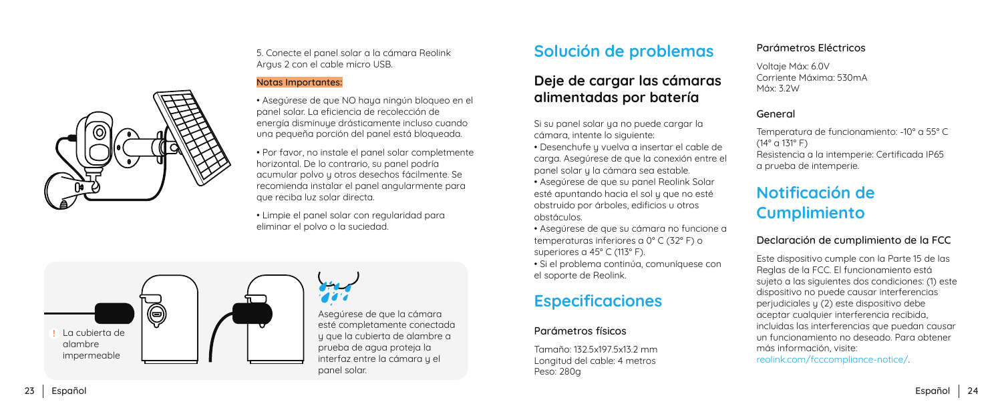

5. Conecte el panel solar a la cámara Reolink Argus 2 con el cable micro USB.

#### Notas Importantes:

• Asegúrese de que NO haya ningún bloqueo en el panel solar. La eficiencia de recolección de energía disminuye drásticamente incluso cuando una pequeña porción del panel está bloqueada.

• Por favor, no instale el panel solar completmente horizontal. De lo contrario, su panel podría acumular polvo y otros desechos fácilmente. Se recomienda instalar el panel angularmente para que reciba luz solar directa.

• Limpie el panel solar con regularidad para eliminar el polvo o la suciedad.



Asegúrese de que la cámara esté completamente conectada y que la cubierta de alambre a prueba de agua proteja la interfaz entre la cámara y el panel solar.

### **Solución de problemas**

### **Deje de cargar las cámaras alimentadas por batería**

Si su panel solar ya no puede cargar la cámara, intente lo siguiente:

• Desenchufe y vuelva a insertar el cable de carga. Asegúrese de que la conexión entre el panel solar y la cámara sea estable.

• Asegúrese de que su panel Reolink Solar esté apuntando hacia el sol y que no esté obstruido por árboles, edificios u otros obstáculos.

• Asegúrese de que su cámara no funcione a temperaturas inferiores a 0° C (32° F) o superiores a 45° C (113° F).

• Si el problema continúa, comuníquese con el soporte de Reolink.

## **Especificaciones**

#### Parámetros físicos

Tamaño: 132.5x197.5x13.2 mm Longitud del cable: 4 metros Peso: 280g

#### Parámetros Eléctricos

Voltaje Máx: 6.0V Corriente Máxima: 530mA Máx: 3.2W

#### General

Temperatura de funcionamiento: -10° a 55° C  $(14^{\circ} \text{ C})$  131° F) Resistencia a la intemperie: Certificada IP65 a prueba de intemperie.

### **Notificación de Cumplimiento**

#### Declaración de cumplimiento de la FCC

Este dispositivo cumple con la Parte 15 de las Reglas de la FCC. El funcionamiento está sujeto a las siguientes dos condiciones: (1) este dispositivo no puede causar interferencias perjudiciales y (2) este dispositivo debe aceptar cualquier interferencia recibida, incluidas las interferencias que puedan causar un funcionamiento no deseado. Para obtener más información, visite: reolink.com/fcccompliance-notice/ .